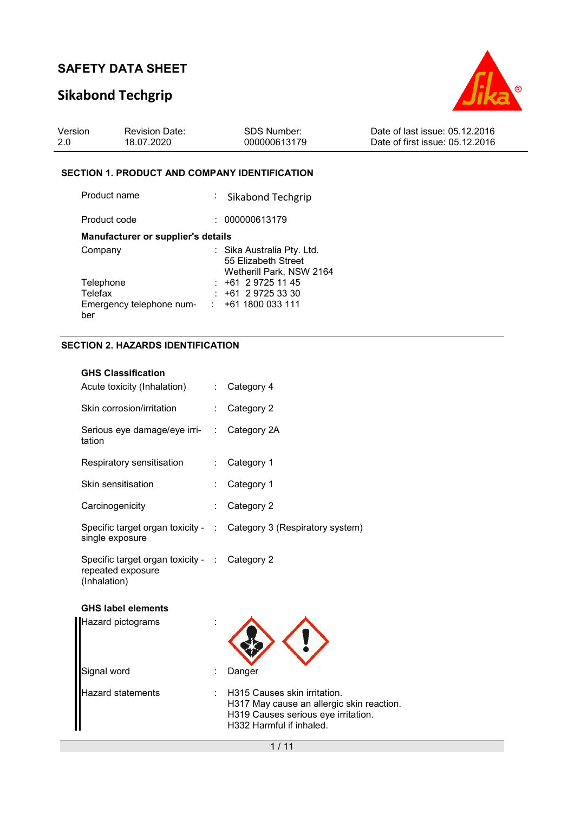# **Sikabond Techgrip**



| Version | <b>Revision Date:</b> | <b>SDS Number:</b> | Date of last issue: 05.12.2016  |
|---------|-----------------------|--------------------|---------------------------------|
| 2.0     | 18.07.2020            | 000000613179       | Date of first issue: 05.12.2016 |

#### **SECTION 1. PRODUCT AND COMPANY IDENTIFICATION**

| Product name                       | : Sikabond Techgrip                                                           |
|------------------------------------|-------------------------------------------------------------------------------|
| Product code                       | : 000000613179                                                                |
| Manufacturer or supplier's details |                                                                               |
| Company                            | : Sika Australia Pty. Ltd.<br>55 Elizabeth Street<br>Wetherill Park, NSW 2164 |
| Telephone                          | $: +61297251145$                                                              |
| Telefax                            | $: +61297253330$                                                              |
| Emergency telephone num-<br>ber    | $: +611800033111$                                                             |

### **SECTION 2. HAZARDS IDENTIFICATION**

| <b>GHS Classification</b>                                                          |   |                                                                                                                                              |
|------------------------------------------------------------------------------------|---|----------------------------------------------------------------------------------------------------------------------------------------------|
| Acute toxicity (Inhalation)                                                        |   | : Category 4                                                                                                                                 |
| Skin corrosion/irritation                                                          |   | Category 2                                                                                                                                   |
| Serious eye damage/eye irri-<br>tation                                             | ÷ | Category 2A                                                                                                                                  |
| Respiratory sensitisation                                                          |   | Category 1                                                                                                                                   |
| Skin sensitisation                                                                 |   | Category 1                                                                                                                                   |
| Carcinogenicity                                                                    |   | Category 2                                                                                                                                   |
| single exposure                                                                    |   | Specific target organ toxicity - : Category 3 (Respiratory system)                                                                           |
| Specific target organ toxicity - : Category 2<br>repeated exposure<br>(Inhalation) |   |                                                                                                                                              |
| <b>GHS label elements</b>                                                          |   |                                                                                                                                              |
| Hazard pictograms                                                                  |   |                                                                                                                                              |
| Signal word                                                                        |   | Danger                                                                                                                                       |
| <b>Hazard statements</b>                                                           |   | H315 Causes skin irritation.<br>H317 May cause an allergic skin reaction.<br>H319 Causes serious eye irritation.<br>H332 Harmful if inhaled. |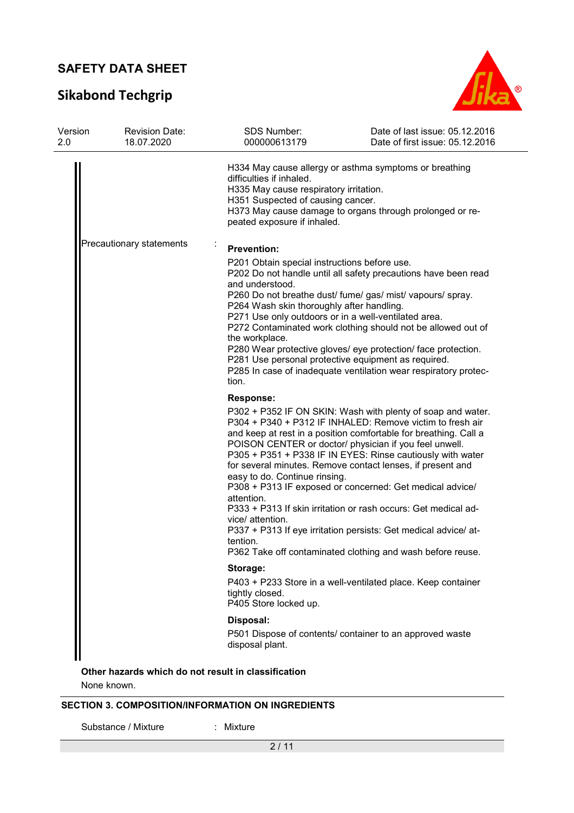# **Sikabond Techgrip**



| Version<br>2.0 | <b>Revision Date:</b><br>18.07.2020 | SDS Number:<br>000000613179                                                                                                                                                                                           | Date of last issue: 05.12.2016<br>Date of first issue: 05.12.2016                                                                                                                                                                                                                                                                                                                                                                                                                                                                                                                                                                                 |
|----------------|-------------------------------------|-----------------------------------------------------------------------------------------------------------------------------------------------------------------------------------------------------------------------|---------------------------------------------------------------------------------------------------------------------------------------------------------------------------------------------------------------------------------------------------------------------------------------------------------------------------------------------------------------------------------------------------------------------------------------------------------------------------------------------------------------------------------------------------------------------------------------------------------------------------------------------------|
|                |                                     | difficulties if inhaled.<br>H335 May cause respiratory irritation.<br>H351 Suspected of causing cancer.<br>peated exposure if inhaled.                                                                                | H334 May cause allergy or asthma symptoms or breathing<br>H373 May cause damage to organs through prolonged or re-                                                                                                                                                                                                                                                                                                                                                                                                                                                                                                                                |
|                | Precautionary statements            | <b>Prevention:</b><br>P201 Obtain special instructions before use.<br>and understood.<br>P264 Wash skin thoroughly after handling.<br>P271 Use only outdoors or in a well-ventilated area.<br>the workplace.<br>tion. | P202 Do not handle until all safety precautions have been read<br>P260 Do not breathe dust/ fume/ gas/ mist/ vapours/ spray.<br>P272 Contaminated work clothing should not be allowed out of<br>P280 Wear protective gloves/ eye protection/ face protection.<br>P281 Use personal protective equipment as required.<br>P285 In case of inadequate ventilation wear respiratory protec-                                                                                                                                                                                                                                                           |
|                |                                     | <b>Response:</b><br>easy to do. Continue rinsing.<br>attention.<br>vice/ attention.<br>tention.                                                                                                                       | P302 + P352 IF ON SKIN: Wash with plenty of soap and water.<br>P304 + P340 + P312 IF INHALED: Remove victim to fresh air<br>and keep at rest in a position comfortable for breathing. Call a<br>POISON CENTER or doctor/ physician if you feel unwell.<br>P305 + P351 + P338 IF IN EYES: Rinse cautiously with water<br>for several minutes. Remove contact lenses, if present and<br>P308 + P313 IF exposed or concerned: Get medical advice/<br>P333 + P313 If skin irritation or rash occurs: Get medical ad-<br>P337 + P313 If eye irritation persists: Get medical advice/ at-<br>P362 Take off contaminated clothing and wash before reuse. |
|                |                                     | Storage:<br>tightly closed.<br>P405 Store locked up.                                                                                                                                                                  | P403 + P233 Store in a well-ventilated place. Keep container                                                                                                                                                                                                                                                                                                                                                                                                                                                                                                                                                                                      |
|                |                                     | Disposal:<br>disposal plant.                                                                                                                                                                                          | P501 Dispose of contents/ container to an approved waste                                                                                                                                                                                                                                                                                                                                                                                                                                                                                                                                                                                          |
|                |                                     |                                                                                                                                                                                                                       |                                                                                                                                                                                                                                                                                                                                                                                                                                                                                                                                                                                                                                                   |

**Other hazards which do not result in classification**

None known.

### **SECTION 3. COMPOSITION/INFORMATION ON INGREDIENTS**

Substance / Mixture : Mixture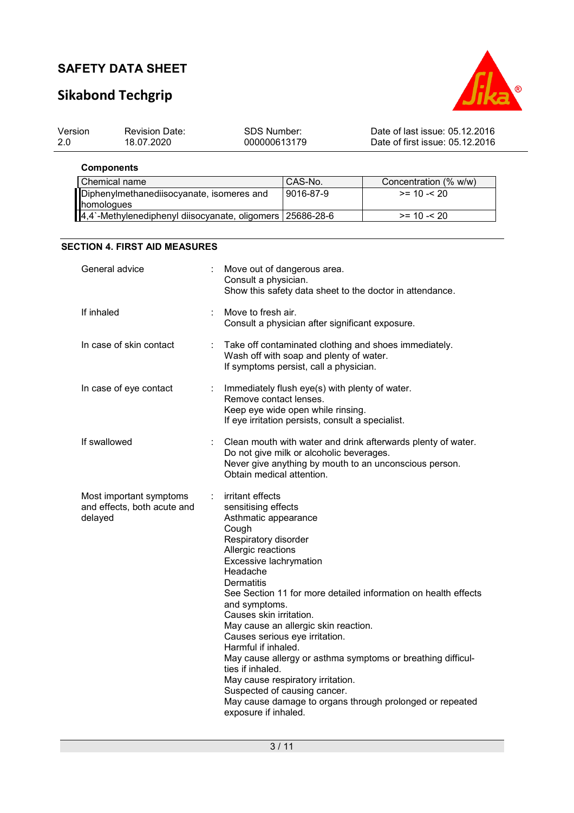# **Sikabond Techgrip**



| Version | <b>Revision Date:</b> | SDS Number:  | Date of last issue: 05.12.2016  |
|---------|-----------------------|--------------|---------------------------------|
| -2.0    | 18.07.2020            | 000000613179 | Date of first issue: 05.12.2016 |

**Components** 

| Chemical name                                               | CAS-No.   | Concentration (% w/w) |
|-------------------------------------------------------------|-----------|-----------------------|
| Diphenylmethanediisocyanate, isomeres and                   | 9016-87-9 | $>= 10 - 20$          |
| <b>homologues</b>                                           |           |                       |
| 4,4`-Methylenediphenyl diisocyanate, oligomers   25686-28-6 |           | $>= 10 - 20$          |

#### **SECTION 4. FIRST AID MEASURES**

| General advice                                                    |                       | Move out of dangerous area.<br>Consult a physician.<br>Show this safety data sheet to the doctor in attendance.                                                                                                                                                                                                                                                                                                                                                                                                                                                                                                                       |
|-------------------------------------------------------------------|-----------------------|---------------------------------------------------------------------------------------------------------------------------------------------------------------------------------------------------------------------------------------------------------------------------------------------------------------------------------------------------------------------------------------------------------------------------------------------------------------------------------------------------------------------------------------------------------------------------------------------------------------------------------------|
| If inhaled                                                        |                       | Move to fresh air.<br>Consult a physician after significant exposure.                                                                                                                                                                                                                                                                                                                                                                                                                                                                                                                                                                 |
| In case of skin contact                                           | ÷                     | Take off contaminated clothing and shoes immediately.<br>Wash off with soap and plenty of water.<br>If symptoms persist, call a physician.                                                                                                                                                                                                                                                                                                                                                                                                                                                                                            |
| In case of eye contact                                            | $\mathbb{Z}^{\times}$ | Immediately flush eye(s) with plenty of water.<br>Remove contact lenses.<br>Keep eye wide open while rinsing.<br>If eye irritation persists, consult a specialist.                                                                                                                                                                                                                                                                                                                                                                                                                                                                    |
| If swallowed                                                      |                       | Clean mouth with water and drink afterwards plenty of water.<br>Do not give milk or alcoholic beverages.<br>Never give anything by mouth to an unconscious person.<br>Obtain medical attention.                                                                                                                                                                                                                                                                                                                                                                                                                                       |
| Most important symptoms<br>and effects, both acute and<br>delayed | ÷.                    | irritant effects<br>sensitising effects<br>Asthmatic appearance<br>Cough<br>Respiratory disorder<br>Allergic reactions<br>Excessive lachrymation<br>Headache<br>Dermatitis<br>See Section 11 for more detailed information on health effects<br>and symptoms.<br>Causes skin irritation.<br>May cause an allergic skin reaction.<br>Causes serious eye irritation.<br>Harmful if inhaled.<br>May cause allergy or asthma symptoms or breathing difficul-<br>ties if inhaled.<br>May cause respiratory irritation.<br>Suspected of causing cancer.<br>May cause damage to organs through prolonged or repeated<br>exposure if inhaled. |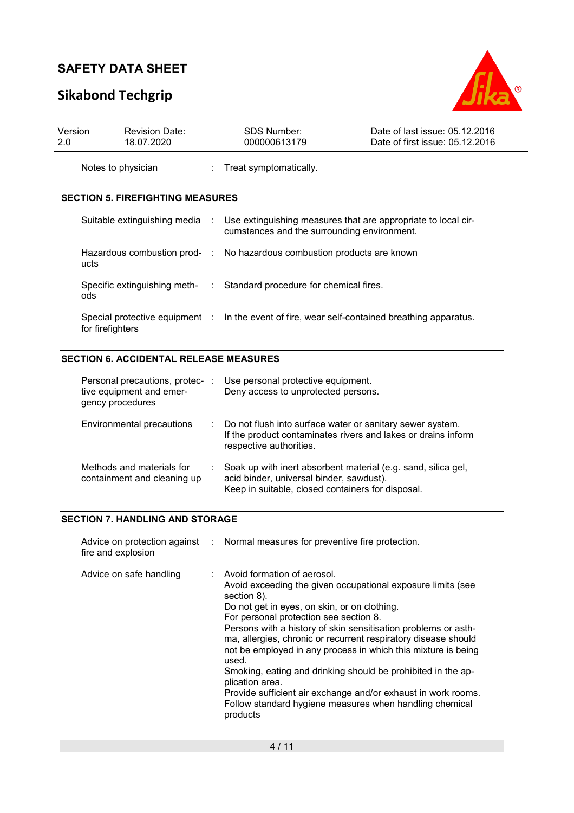# **Sikabond Techgrip**



| Version<br>2.0 | <b>Revision Date:</b><br>18.07.2020                                             |                                                                                               | <b>SDS Number:</b><br>000000613179          | Date of last issue: 05.12.2016<br>Date of first issue: 05.12.2016 |
|----------------|---------------------------------------------------------------------------------|-----------------------------------------------------------------------------------------------|---------------------------------------------|-------------------------------------------------------------------|
|                | Notes to physician                                                              |                                                                                               | : Treat symptomatically.                    |                                                                   |
|                | <b>SECTION 5. FIREFIGHTING MEASURES</b>                                         |                                                                                               |                                             |                                                                   |
|                | Suitable extinguishing media :                                                  |                                                                                               | cumstances and the surrounding environment. | Use extinguishing measures that are appropriate to local cir-     |
|                | Hazardous combustion prod- : No hazardous combustion products are known<br>ucts |                                                                                               |                                             |                                                                   |
|                | Specific extinguishing meth- : Standard procedure for chemical fires.<br>ods    |                                                                                               |                                             |                                                                   |
|                | for firefighters                                                                | Special protective equipment : In the event of fire, wear self-contained breathing apparatus. |                                             |                                                                   |

### **SECTION 6. ACCIDENTAL RELEASE MEASURES**

| Personal precautions, protec- :<br>tive equipment and emer-<br>gency procedures | Use personal protective equipment.<br>Deny access to unprotected persons.                                                                                      |
|---------------------------------------------------------------------------------|----------------------------------------------------------------------------------------------------------------------------------------------------------------|
| Environmental precautions                                                       | : Do not flush into surface water or sanitary sewer system.<br>If the product contaminates rivers and lakes or drains inform<br>respective authorities.        |
| Methods and materials for<br>containment and cleaning up                        | Soak up with inert absorbent material (e.g. sand, silica gel,<br>acid binder, universal binder, sawdust).<br>Keep in suitable, closed containers for disposal. |

#### **SECTION 7. HANDLING AND STORAGE**

| fire and explosion      | Advice on protection against : Normal measures for preventive fire protection.                                                                                                                                                                                                                                                                                                                                                                                                                                                                                                                                                                 |
|-------------------------|------------------------------------------------------------------------------------------------------------------------------------------------------------------------------------------------------------------------------------------------------------------------------------------------------------------------------------------------------------------------------------------------------------------------------------------------------------------------------------------------------------------------------------------------------------------------------------------------------------------------------------------------|
| Advice on safe handling | : Avoid formation of aerosol.<br>Avoid exceeding the given occupational exposure limits (see<br>section 8).<br>Do not get in eyes, on skin, or on clothing.<br>For personal protection see section 8.<br>Persons with a history of skin sensitisation problems or asth-<br>ma, allergies, chronic or recurrent respiratory disease should<br>not be employed in any process in which this mixture is being<br>used.<br>Smoking, eating and drinking should be prohibited in the ap-<br>plication area.<br>Provide sufficient air exchange and/or exhaust in work rooms.<br>Follow standard hygiene measures when handling chemical<br>products |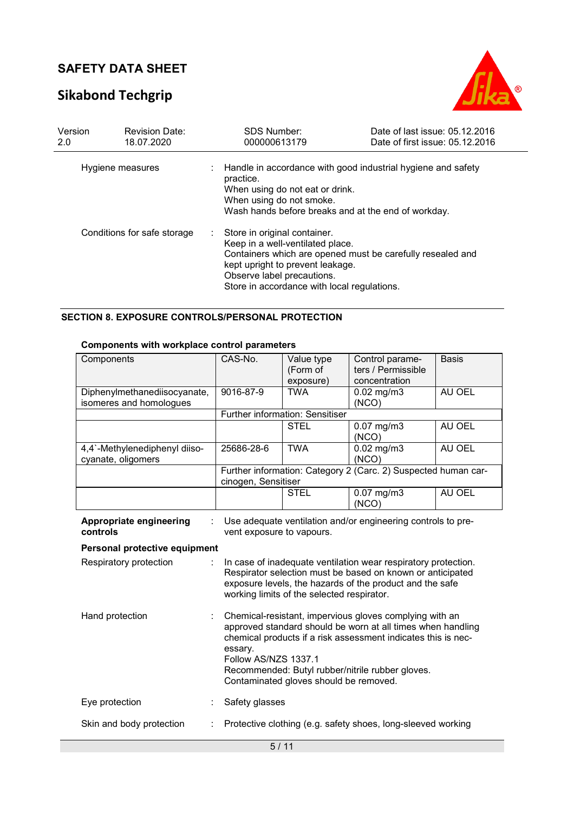# **Sikabond Techgrip**



| Version<br>2.0 | <b>Revision Date:</b><br>18.07.2020 | <b>SDS Number:</b><br>000000613179                                                                                                                                                | Date of last issue: 05.12.2016<br>Date of first issue: 05.12.2016 |
|----------------|-------------------------------------|-----------------------------------------------------------------------------------------------------------------------------------------------------------------------------------|-------------------------------------------------------------------|
|                | Hygiene measures                    | practice.<br>When using do not eat or drink.<br>When using do not smoke.<br>Wash hands before breaks and at the end of workday.                                                   | Handle in accordance with good industrial hygiene and safety      |
|                | Conditions for safe storage         | Store in original container.<br>Keep in a well-ventilated place.<br>kept upright to prevent leakage.<br>Observe label precautions.<br>Store in accordance with local regulations. | Containers which are opened must be carefully resealed and        |

#### **SECTION 8. EXPOSURE CONTROLS/PERSONAL PROTECTION**

| <b>Components with workplace control parameters</b> |  |  |
|-----------------------------------------------------|--|--|
|-----------------------------------------------------|--|--|

| Components                                          | CAS-No.                                                                                                                                                                                                                                                                                                                  | Value type                      | Control parame-                                                | <b>Basis</b> |  |
|-----------------------------------------------------|--------------------------------------------------------------------------------------------------------------------------------------------------------------------------------------------------------------------------------------------------------------------------------------------------------------------------|---------------------------------|----------------------------------------------------------------|--------------|--|
|                                                     |                                                                                                                                                                                                                                                                                                                          | (Form of<br>exposure)           | ters / Permissible<br>concentration                            |              |  |
| Diphenylmethanediisocyanate,                        | 9016-87-9                                                                                                                                                                                                                                                                                                                | <b>TWA</b>                      | $0.02$ mg/m $3$                                                | AU OEL       |  |
| isomeres and homologues                             |                                                                                                                                                                                                                                                                                                                          |                                 | (NCO)                                                          |              |  |
|                                                     |                                                                                                                                                                                                                                                                                                                          | Further information: Sensitiser |                                                                |              |  |
|                                                     |                                                                                                                                                                                                                                                                                                                          | <b>STEL</b>                     | $0.07$ mg/m $3$<br>(NCO)                                       | AU OEL       |  |
| 4,4`-Methylenediphenyl diiso-<br>cyanate, oligomers | 25686-28-6                                                                                                                                                                                                                                                                                                               | <b>TWA</b>                      | $0.02$ mg/m $3$<br>(NCO)                                       | AU OEL       |  |
|                                                     | cinogen, Sensitiser                                                                                                                                                                                                                                                                                                      |                                 | Further information: Category 2 (Carc. 2) Suspected human car- |              |  |
|                                                     |                                                                                                                                                                                                                                                                                                                          | <b>STEL</b>                     | $0.07$ mg/m $3$<br>(NCO)                                       | AU OEL       |  |
| Appropriate engineering<br>controls                 | vent exposure to vapours.                                                                                                                                                                                                                                                                                                |                                 | Use adequate ventilation and/or engineering controls to pre-   |              |  |
| Personal protective equipment                       |                                                                                                                                                                                                                                                                                                                          |                                 |                                                                |              |  |
| Respiratory protection                              | In case of inadequate ventilation wear respiratory protection.<br>Respirator selection must be based on known or anticipated<br>exposure levels, the hazards of the product and the safe<br>working limits of the selected respirator.                                                                                   |                                 |                                                                |              |  |
| Hand protection                                     | Chemical-resistant, impervious gloves complying with an<br>approved standard should be worn at all times when handling<br>chemical products if a risk assessment indicates this is nec-<br>essary.<br>Follow AS/NZS 1337.1<br>Recommended: Butyl rubber/nitrile rubber gloves.<br>Contaminated gloves should be removed. |                                 |                                                                |              |  |
| Eye protection                                      | Safety glasses                                                                                                                                                                                                                                                                                                           |                                 |                                                                |              |  |
| Skin and body protection                            | Protective clothing (e.g. safety shoes, long-sleeved working                                                                                                                                                                                                                                                             |                                 |                                                                |              |  |
| 5/11                                                |                                                                                                                                                                                                                                                                                                                          |                                 |                                                                |              |  |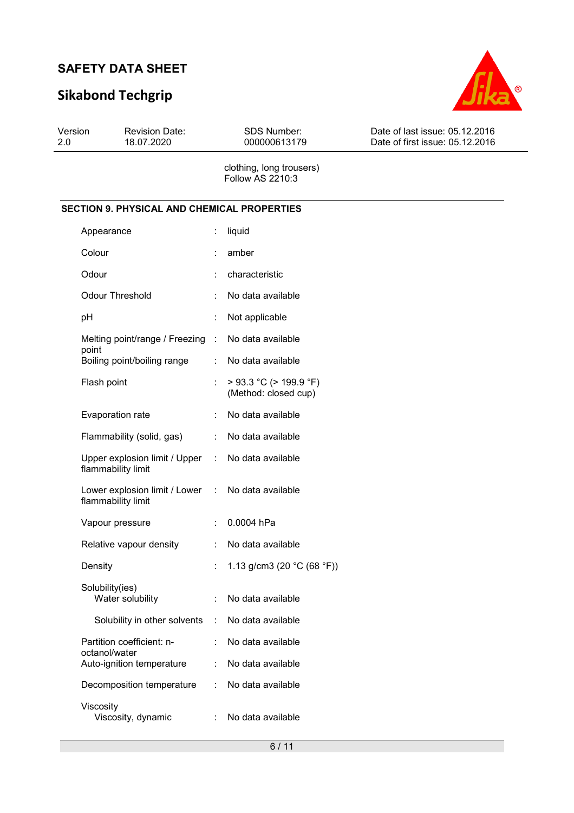# **Sikabond Techgrip**



| Version<br>2.0 | <b>Revision Date:</b><br>18.07.2020                | <b>SDS Number:</b><br>000000613179                  | Date of last issue: 05.12.2016<br>Date of first issue: 05.12.2016 |
|----------------|----------------------------------------------------|-----------------------------------------------------|-------------------------------------------------------------------|
|                |                                                    | clothing, long trousers)<br><b>Follow AS 2210:3</b> |                                                                   |
|                | <b>SECTION 9. PHYSICAL AND CHEMICAL PROPERTIES</b> |                                                     |                                                                   |
|                | <u>A</u>                                           | المتابعين المستلفات                                 |                                                                   |

| $\ddot{\cdot}$                  | liquid                                               |
|---------------------------------|------------------------------------------------------|
| ÷                               | amber                                                |
|                                 | characteristic                                       |
| $\ddot{\cdot}$                  | No data available                                    |
| İ,                              | Not applicable                                       |
| ÷.                              | No data available                                    |
| ÷.                              | No data available                                    |
|                                 | $>$ 93.3 °C ( $>$ 199.9 °F)<br>(Method: closed cup)  |
| ÷                               | No data available                                    |
| ÷.                              | No data available                                    |
| Upper explosion limit / Upper   | No data available                                    |
| Lower explosion limit / Lower   | No data available                                    |
| $\ddot{\phantom{a}}$            | 0.0004 hPa                                           |
| ÷                               | No data available                                    |
| ÷                               | 1.13 g/cm3 (20 °C (68 °F))                           |
| ÷                               | No data available                                    |
| Solubility in other solvents    | : No data available                                  |
| ÷.                              | No data available                                    |
| ÷.                              | No data available                                    |
| Decomposition temperature<br>÷. | No data available                                    |
|                                 | No data available                                    |
|                                 | $\mathcal{L}_{\mathrm{max}}$<br>$\mathbb{R}^n$<br>t. |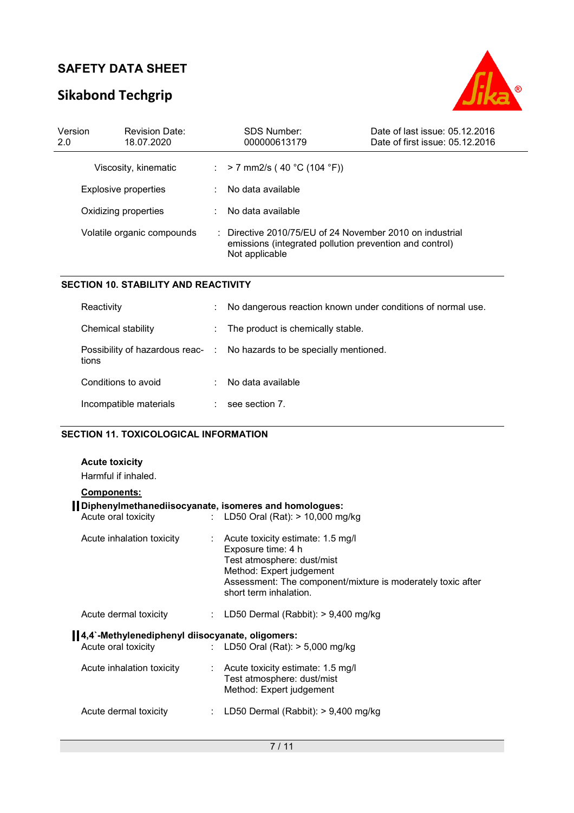# **Sikabond Techgrip**



| Version<br>2.0 | <b>Revision Date:</b><br>18.07.2020 | <b>SDS Number:</b><br>000000613179                                                                                                    | Date of last issue: 05.12.2016<br>Date of first issue: 05.12.2016 |
|----------------|-------------------------------------|---------------------------------------------------------------------------------------------------------------------------------------|-------------------------------------------------------------------|
|                | Viscosity, kinematic                | : > 7 mm2/s ( 40 °C (104 °F))                                                                                                         |                                                                   |
|                | <b>Explosive properties</b>         | No data available                                                                                                                     |                                                                   |
|                | Oxidizing properties                | . No data available                                                                                                                   |                                                                   |
|                | Volatile organic compounds          | : Directive 2010/75/EU of 24 November 2010 on industrial<br>emissions (integrated pollution prevention and control)<br>Not applicable |                                                                   |

#### **SECTION 10. STABILITY AND REACTIVITY**

| Reactivity             | ÷                        | No dangerous reaction known under conditions of normal use.            |
|------------------------|--------------------------|------------------------------------------------------------------------|
| Chemical stability     | $\mathcal{L}_{\rm{max}}$ | The product is chemically stable.                                      |
| tions                  |                          | Possibility of hazardous reac- : No hazards to be specially mentioned. |
| Conditions to avoid    |                          | No data available                                                      |
| Incompatible materials |                          | see section 7.                                                         |

#### **SECTION 11. TOXICOLOGICAL INFORMATION**

### **Acute toxicity**

Harmful if inhaled.

| <b>Components:</b>                                    |                                                                                                                                                                                                                         |
|-------------------------------------------------------|-------------------------------------------------------------------------------------------------------------------------------------------------------------------------------------------------------------------------|
| Diphenylmethanediisocyanate, isomeres and homologues: |                                                                                                                                                                                                                         |
| Acute oral toxicity                                   | : LD50 Oral (Rat): $> 10,000$ mg/kg                                                                                                                                                                                     |
| Acute inhalation toxicity                             | $\therefore$ Acute toxicity estimate: 1.5 mg/l<br>Exposure time: 4 h<br>Test atmosphere: dust/mist<br>Method: Expert judgement<br>Assessment: The component/mixture is moderately toxic after<br>short term inhalation. |
| Acute dermal toxicity                                 | : LD50 Dermal (Rabbit): $> 9,400$ mg/kg                                                                                                                                                                                 |
| 4,4'-Methylenediphenyl diisocyanate, oligomers:       |                                                                                                                                                                                                                         |
| Acute oral toxicity                                   | : LD50 Oral (Rat): $>$ 5,000 mg/kg                                                                                                                                                                                      |
| Acute inhalation toxicity                             | $\therefore$ Acute toxicity estimate: 1.5 mg/l<br>Test atmosphere: dust/mist<br>Method: Expert judgement                                                                                                                |
| Acute dermal toxicity                                 | LD50 Dermal (Rabbit): $> 9,400$ mg/kg                                                                                                                                                                                   |
|                                                       |                                                                                                                                                                                                                         |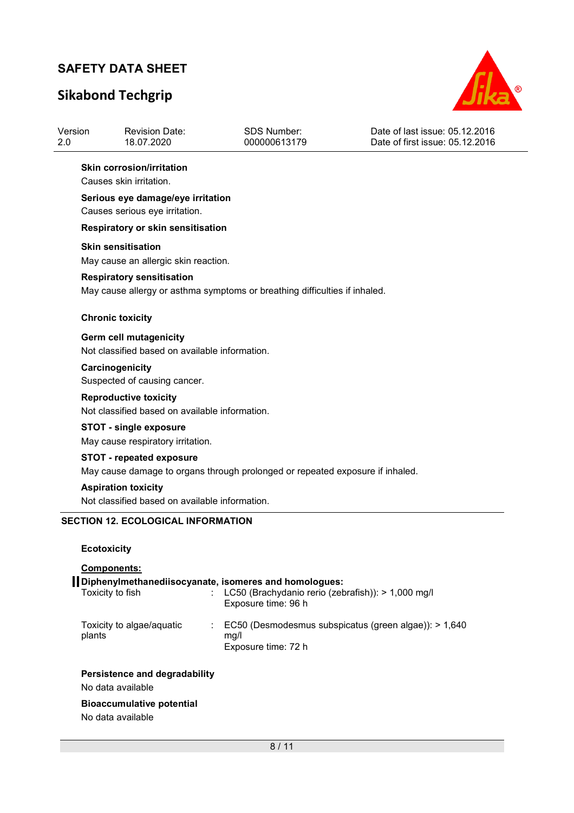# **Sikabond Techgrip**

Version

 $\overline{a}$ 



| Version<br>2.0 | <b>Revision Date:</b><br>18.07.2020                                            | <b>SDS Number:</b><br>000000613179                                                                                                   | Date of last issue: 05.12.2016<br>Date of first issue: 05.12.2016 |
|----------------|--------------------------------------------------------------------------------|--------------------------------------------------------------------------------------------------------------------------------------|-------------------------------------------------------------------|
|                | <b>Skin corrosion/irritation</b>                                               |                                                                                                                                      |                                                                   |
|                | Causes skin irritation.                                                        |                                                                                                                                      |                                                                   |
|                | Serious eye damage/eye irritation<br>Causes serious eye irritation.            |                                                                                                                                      |                                                                   |
|                | Respiratory or skin sensitisation                                              |                                                                                                                                      |                                                                   |
|                | <b>Skin sensitisation</b><br>May cause an allergic skin reaction.              |                                                                                                                                      |                                                                   |
|                | <b>Respiratory sensitisation</b>                                               | May cause allergy or asthma symptoms or breathing difficulties if inhaled.                                                           |                                                                   |
|                | <b>Chronic toxicity</b>                                                        |                                                                                                                                      |                                                                   |
|                | Germ cell mutagenicity<br>Not classified based on available information.       |                                                                                                                                      |                                                                   |
|                | Carcinogenicity<br>Suspected of causing cancer.                                |                                                                                                                                      |                                                                   |
|                | <b>Reproductive toxicity</b><br>Not classified based on available information. |                                                                                                                                      |                                                                   |
|                | <b>STOT - single exposure</b><br>May cause respiratory irritation.             |                                                                                                                                      |                                                                   |
|                | <b>STOT - repeated exposure</b>                                                |                                                                                                                                      |                                                                   |
|                |                                                                                | May cause damage to organs through prolonged or repeated exposure if inhaled.                                                        |                                                                   |
|                | <b>Aspiration toxicity</b>                                                     |                                                                                                                                      |                                                                   |
|                | Not classified based on available information.                                 |                                                                                                                                      |                                                                   |
|                | <b>SECTION 12. ECOLOGICAL INFORMATION</b>                                      |                                                                                                                                      |                                                                   |
|                | <b>Ecotoxicity</b>                                                             |                                                                                                                                      |                                                                   |
|                | Components:                                                                    |                                                                                                                                      |                                                                   |
|                | Toxicity to fish                                                               | Diphenylmethanediisocyanate, isomeres and homologues:<br>: LC50 (Brachydanio rerio (zebrafish)): > 1,000 mg/l<br>Exposure time: 96 h |                                                                   |
| plants         | Toxicity to algae/aquatic                                                      | mg/l<br>Exposure time: 72 h                                                                                                          | EC50 (Desmodesmus subspicatus (green algae)): > 1,640             |
|                | Persistence and degradability                                                  |                                                                                                                                      |                                                                   |

No data available

#### **Bioaccumulative potential**

No data available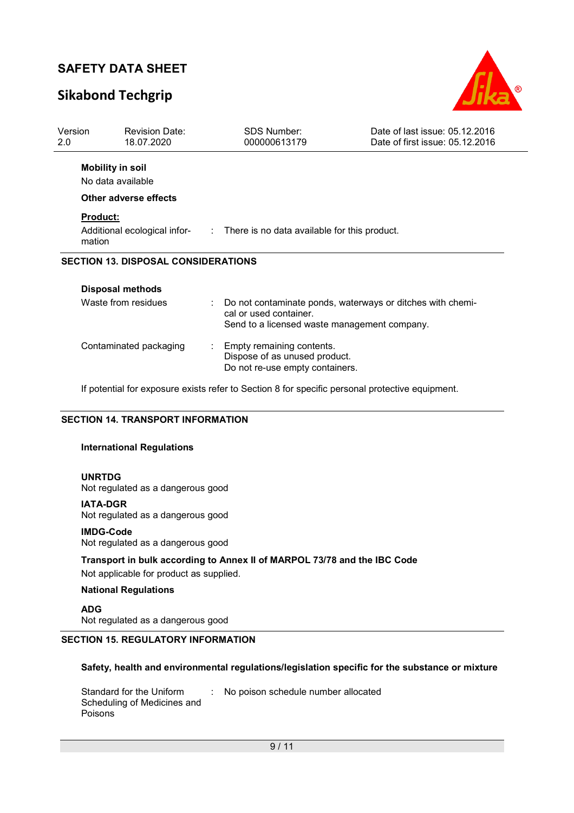## **Sikabond Techgrip**



| Version<br>2.0  | <b>Revision Date:</b><br>18.07.2020        | <b>SDS Number:</b><br>000000613179                               | Date of last issue: 05.12.2016<br>Date of first issue: 05.12.2016 |
|-----------------|--------------------------------------------|------------------------------------------------------------------|-------------------------------------------------------------------|
|                 | <b>Mobility in soil</b>                    |                                                                  |                                                                   |
|                 | No data available                          |                                                                  |                                                                   |
|                 | Other adverse effects                      |                                                                  |                                                                   |
| <b>Product:</b> |                                            |                                                                  |                                                                   |
| mation          | Additional ecological infor-               | : There is no data available for this product.                   |                                                                   |
|                 | <b>SECTION 13. DISPOSAL CONSIDERATIONS</b> |                                                                  |                                                                   |
|                 | <b>Disposal methods</b>                    |                                                                  |                                                                   |
|                 | Waste from residues                        | cal or used container.                                           | Do not contaminate ponds, waterways or ditches with chemi-        |
|                 |                                            | Send to a licensed waste management company.                     |                                                                   |
|                 | Contaminated packaging                     | Empty remaining contents.                                        |                                                                   |
|                 |                                            | Dispose of as unused product.<br>Do not re-use empty containers. |                                                                   |

If potential for exposure exists refer to Section 8 for specific personal protective equipment.

#### **SECTION 14. TRANSPORT INFORMATION**

#### **International Regulations**

#### **UNRTDG**

Not regulated as a dangerous good

**IATA-DGR** Not regulated as a dangerous good

#### **IMDG-Code**

Not regulated as a dangerous good

**Transport in bulk according to Annex II of MARPOL 73/78 and the IBC Code**  Not applicable for product as supplied.

## **National Regulations**

**ADG**

Not regulated as a dangerous good

### **SECTION 15. REGULATORY INFORMATION**

#### **Safety, health and environmental regulations/legislation specific for the substance or mixture**

Standard for the Uniform Scheduling of Medicines and Poisons : No poison schedule number allocated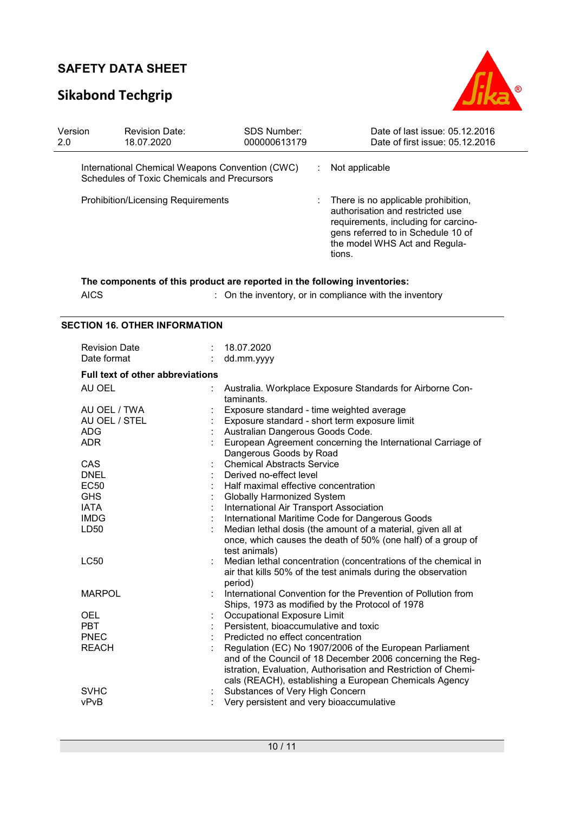# **Sikabond Techgrip**



| Version<br>2.0                            | <b>Revision Date:</b><br>18.07.2020                                                            | <b>SDS Number:</b><br>000000613179 | Date of last issue: 05.12.2016<br>Date of first issue: 05.12.2016                                                                                                                                             |
|-------------------------------------------|------------------------------------------------------------------------------------------------|------------------------------------|---------------------------------------------------------------------------------------------------------------------------------------------------------------------------------------------------------------|
|                                           | International Chemical Weapons Convention (CWC)<br>Schedules of Toxic Chemicals and Precursors |                                    | Not applicable                                                                                                                                                                                                |
| <b>Prohibition/Licensing Requirements</b> |                                                                                                |                                    | $\therefore$ There is no applicable prohibition,<br>authorisation and restricted use<br>requirements, including for carcino-<br>gens referred to in Schedule 10 of<br>the model WHS Act and Regula-<br>tions. |
|                                           | The components of this product are reported in the following inventories:                      |                                    |                                                                                                                                                                                                               |

| <b>AICS</b> | : On the inventory, or in compliance with the inventory |
|-------------|---------------------------------------------------------|
|-------------|---------------------------------------------------------|

### **SECTION 16. OTHER INFORMATION**

| <b>Revision Date</b><br>Date format                       |  | 18.07.2020<br>dd.mm.yyyy                                                                                                                                                                                                                                                               |  |  |  |
|-----------------------------------------------------------|--|----------------------------------------------------------------------------------------------------------------------------------------------------------------------------------------------------------------------------------------------------------------------------------------|--|--|--|
| <b>Full text of other abbreviations</b>                   |  |                                                                                                                                                                                                                                                                                        |  |  |  |
| AU OEL                                                    |  | Australia. Workplace Exposure Standards for Airborne Con-<br>taminants.                                                                                                                                                                                                                |  |  |  |
| AU OEL / TWA<br>AU OEL / STEL<br><b>ADG</b><br><b>ADR</b> |  | Exposure standard - time weighted average<br>Exposure standard - short term exposure limit<br>Australian Dangerous Goods Code.<br>European Agreement concerning the International Carriage of                                                                                          |  |  |  |
| CAS<br><b>DNEL</b><br><b>EC50</b>                         |  | Dangerous Goods by Road<br><b>Chemical Abstracts Service</b><br>Derived no-effect level<br>Half maximal effective concentration                                                                                                                                                        |  |  |  |
| <b>GHS</b>                                                |  | <b>Globally Harmonized System</b>                                                                                                                                                                                                                                                      |  |  |  |
| <b>IATA</b><br><b>IMDG</b>                                |  | International Air Transport Association<br>International Maritime Code for Dangerous Goods                                                                                                                                                                                             |  |  |  |
| LD50                                                      |  | Median lethal dosis (the amount of a material, given all at<br>once, which causes the death of 50% (one half) of a group of<br>test animals)                                                                                                                                           |  |  |  |
| <b>LC50</b>                                               |  | Median lethal concentration (concentrations of the chemical in<br>air that kills 50% of the test animals during the observation<br>period)                                                                                                                                             |  |  |  |
| <b>MARPOL</b>                                             |  | International Convention for the Prevention of Pollution from<br>Ships, 1973 as modified by the Protocol of 1978                                                                                                                                                                       |  |  |  |
| <b>OEL</b><br><b>PBT</b>                                  |  | Occupational Exposure Limit<br>Persistent, bioaccumulative and toxic                                                                                                                                                                                                                   |  |  |  |
| PNEC<br><b>REACH</b>                                      |  | Predicted no effect concentration<br>Regulation (EC) No 1907/2006 of the European Parliament<br>and of the Council of 18 December 2006 concerning the Reg-<br>istration, Evaluation, Authorisation and Restriction of Chemi-<br>cals (REACH), establishing a European Chemicals Agency |  |  |  |
| <b>SVHC</b><br>vPvB                                       |  | Substances of Very High Concern<br>Very persistent and very bioaccumulative                                                                                                                                                                                                            |  |  |  |